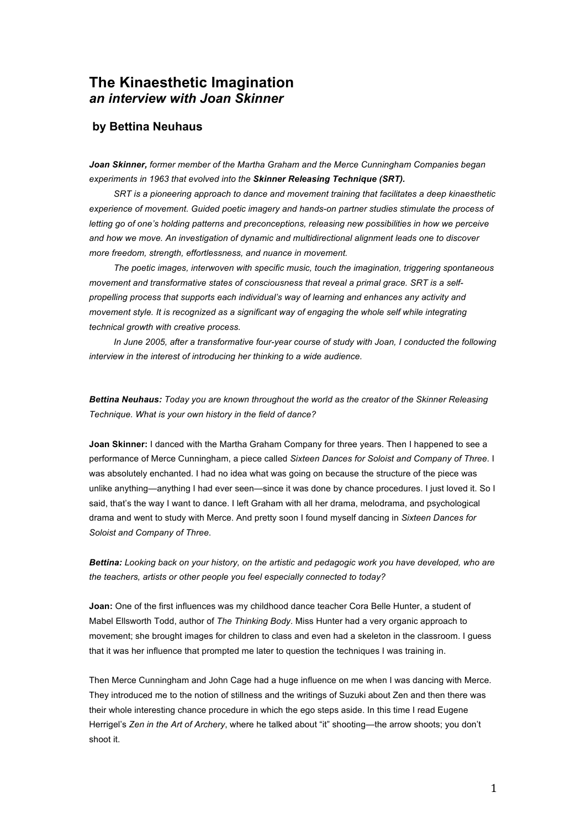# **The Kinaesthetic Imagination**  *an interview with Joan Skinner*

## **by Bettina Neuhaus**

*Joan Skinner, former member of the Martha Graham and the Merce Cunningham Companies began experiments in 1963 that evolved into the Skinner Releasing Technique (SRT).*

*SRT is a pioneering approach to dance and movement training that facilitates a deep kinaesthetic experience of movement. Guided poetic imagery and hands-on partner studies stimulate the process of letting go of one's holding patterns and preconceptions, releasing new possibilities in how we perceive and how we move. An investigation of dynamic and multidirectional alignment leads one to discover more freedom, strength, effortlessness, and nuance in movement.*

*The poetic images, interwoven with specific music, touch the imagination, triggering spontaneous movement and transformative states of consciousness that reveal a primal grace. SRT is a selfpropelling process that supports each individual's way of learning and enhances any activity and movement style. It is recognized as a significant way of engaging the whole self while integrating technical growth with creative process.*

*In June 2005, after a transformative four-year course of study with Joan, I conducted the following interview in the interest of introducing her thinking to a wide audience.*

*Bettina Neuhaus: Today you are known throughout the world as the creator of the Skinner Releasing Technique. What is your own history in the field of dance?*

**Joan Skinner:** I danced with the Martha Graham Company for three years. Then I happened to see a performance of Merce Cunningham, a piece called *Sixteen Dances for Soloist and Company of Three*. I was absolutely enchanted. I had no idea what was going on because the structure of the piece was unlike anything—anything I had ever seen—since it was done by chance procedures. I just loved it. So I said, that's the way I want to dance. I left Graham with all her drama, melodrama, and psychological drama and went to study with Merce. And pretty soon I found myself dancing in *Sixteen Dances for Soloist and Company of Three*.

*Bettina: Looking back on your history, on the artistic and pedagogic work you have developed, who are the teachers, artists or other people you feel especially connected to today?*

**Joan:** One of the first influences was my childhood dance teacher Cora Belle Hunter, a student of Mabel Ellsworth Todd, author of *The Thinking Body*. Miss Hunter had a very organic approach to movement; she brought images for children to class and even had a skeleton in the classroom. I guess that it was her influence that prompted me later to question the techniques I was training in.

Then Merce Cunningham and John Cage had a huge influence on me when I was dancing with Merce. They introduced me to the notion of stillness and the writings of Suzuki about Zen and then there was their whole interesting chance procedure in which the ego steps aside. In this time I read Eugene Herrigel's *Zen in the Art of Archery*, where he talked about "it" shooting—the arrow shoots; you don't shoot it.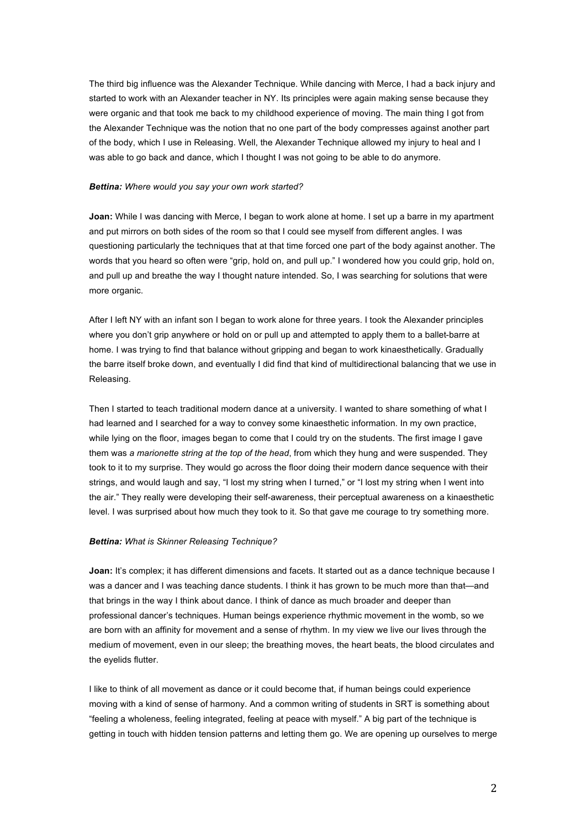The third big influence was the Alexander Technique. While dancing with Merce, I had a back injury and started to work with an Alexander teacher in NY. Its principles were again making sense because they were organic and that took me back to my childhood experience of moving. The main thing I got from the Alexander Technique was the notion that no one part of the body compresses against another part of the body, which I use in Releasing. Well, the Alexander Technique allowed my injury to heal and I was able to go back and dance, which I thought I was not going to be able to do anymore.

### *Bettina: Where would you say your own work started?*

**Joan:** While I was dancing with Merce, I began to work alone at home. I set up a barre in my apartment and put mirrors on both sides of the room so that I could see myself from different angles. I was questioning particularly the techniques that at that time forced one part of the body against another. The words that you heard so often were "grip, hold on, and pull up." I wondered how you could grip, hold on, and pull up and breathe the way I thought nature intended. So, I was searching for solutions that were more organic.

After I left NY with an infant son I began to work alone for three years. I took the Alexander principles where you don't grip anywhere or hold on or pull up and attempted to apply them to a ballet-barre at home. I was trying to find that balance without gripping and began to work kinaesthetically. Gradually the barre itself broke down, and eventually I did find that kind of multidirectional balancing that we use in Releasing.

Then I started to teach traditional modern dance at a university. I wanted to share something of what I had learned and I searched for a way to convey some kinaesthetic information. In my own practice, while lying on the floor, images began to come that I could try on the students. The first image I gave them was *a marionette string at the top of the head*, from which they hung and were suspended. They took to it to my surprise. They would go across the floor doing their modern dance sequence with their strings, and would laugh and say, "I lost my string when I turned," or "I lost my string when I went into the air." They really were developing their self-awareness, their perceptual awareness on a kinaesthetic level. I was surprised about how much they took to it. So that gave me courage to try something more.

#### *Bettina: What is Skinner Releasing Technique?*

**Joan:** It's complex; it has different dimensions and facets. It started out as a dance technique because I was a dancer and I was teaching dance students. I think it has grown to be much more than that—and that brings in the way I think about dance. I think of dance as much broader and deeper than professional dancer's techniques. Human beings experience rhythmic movement in the womb, so we are born with an affinity for movement and a sense of rhythm. In my view we live our lives through the medium of movement, even in our sleep; the breathing moves, the heart beats, the blood circulates and the eyelids flutter.

I like to think of all movement as dance or it could become that, if human beings could experience moving with a kind of sense of harmony. And a common writing of students in SRT is something about "feeling a wholeness, feeling integrated, feeling at peace with myself." A big part of the technique is getting in touch with hidden tension patterns and letting them go. We are opening up ourselves to merge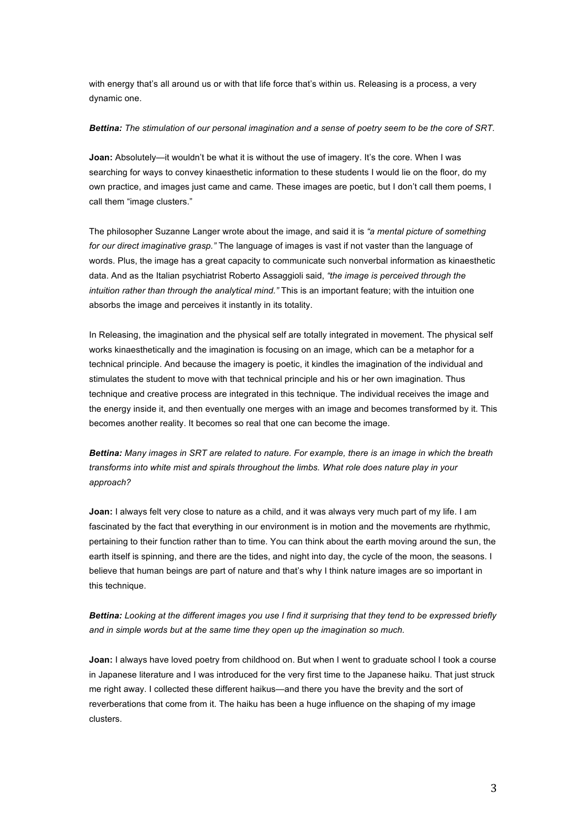with energy that's all around us or with that life force that's within us. Releasing is a process, a very dynamic one.

#### *Bettina: The stimulation of our personal imagination and a sense of poetry seem to be the core of SRT.*

**Joan:** Absolutely—it wouldn't be what it is without the use of imagery. It's the core. When I was searching for ways to convey kinaesthetic information to these students I would lie on the floor, do my own practice, and images just came and came. These images are poetic, but I don't call them poems, I call them "image clusters."

The philosopher Suzanne Langer wrote about the image, and said it is *"a mental picture of something for our direct imaginative grasp."* The language of images is vast if not vaster than the language of words. Plus, the image has a great capacity to communicate such nonverbal information as kinaesthetic data. And as the Italian psychiatrist Roberto Assaggioli said, *"the image is perceived through the intuition rather than through the analytical mind."* This is an important feature; with the intuition one absorbs the image and perceives it instantly in its totality.

In Releasing, the imagination and the physical self are totally integrated in movement. The physical self works kinaesthetically and the imagination is focusing on an image, which can be a metaphor for a technical principle. And because the imagery is poetic, it kindles the imagination of the individual and stimulates the student to move with that technical principle and his or her own imagination. Thus technique and creative process are integrated in this technique. The individual receives the image and the energy inside it, and then eventually one merges with an image and becomes transformed by it. This becomes another reality. It becomes so real that one can become the image.

*Bettina: Many images in SRT are related to nature. For example, there is an image in which the breath transforms into white mist and spirals throughout the limbs. What role does nature play in your approach?*

**Joan:** I always felt very close to nature as a child, and it was always very much part of my life. I am fascinated by the fact that everything in our environment is in motion and the movements are rhythmic, pertaining to their function rather than to time. You can think about the earth moving around the sun, the earth itself is spinning, and there are the tides, and night into day, the cycle of the moon, the seasons. I believe that human beings are part of nature and that's why I think nature images are so important in this technique.

*Bettina: Looking at the different images you use I find it surprising that they tend to be expressed briefly and in simple words but at the same time they open up the imagination so much.*

**Joan:** I always have loved poetry from childhood on. But when I went to graduate school I took a course in Japanese literature and I was introduced for the very first time to the Japanese haiku. That just struck me right away. I collected these different haikus—and there you have the brevity and the sort of reverberations that come from it. The haiku has been a huge influence on the shaping of my image clusters.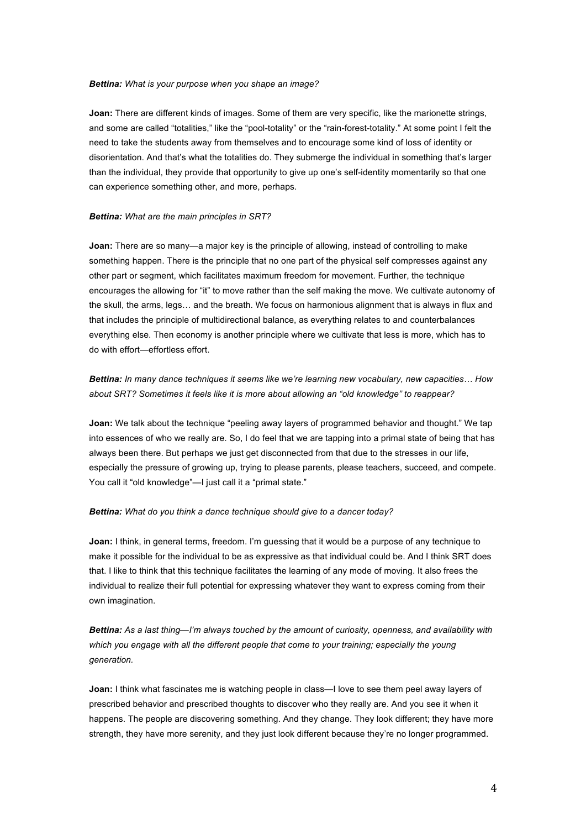#### *Bettina: What is your purpose when you shape an image?*

**Joan:** There are different kinds of images. Some of them are very specific, like the marionette strings, and some are called "totalities," like the "pool-totality" or the "rain-forest-totality." At some point I felt the need to take the students away from themselves and to encourage some kind of loss of identity or disorientation. And that's what the totalities do. They submerge the individual in something that's larger than the individual, they provide that opportunity to give up one's self-identity momentarily so that one can experience something other, and more, perhaps.

#### *Bettina: What are the main principles in SRT?*

**Joan:** There are so many—a major key is the principle of allowing, instead of controlling to make something happen. There is the principle that no one part of the physical self compresses against any other part or segment, which facilitates maximum freedom for movement. Further, the technique encourages the allowing for "it" to move rather than the self making the move. We cultivate autonomy of the skull, the arms, legs… and the breath. We focus on harmonious alignment that is always in flux and that includes the principle of multidirectional balance, as everything relates to and counterbalances everything else. Then economy is another principle where we cultivate that less is more, which has to do with effort—effortless effort.

## *Bettina: In many dance techniques it seems like we're learning new vocabulary, new capacities… How about SRT? Sometimes it feels like it is more about allowing an "old knowledge" to reappear?*

**Joan:** We talk about the technique "peeling away layers of programmed behavior and thought." We tap into essences of who we really are. So, I do feel that we are tapping into a primal state of being that has always been there. But perhaps we just get disconnected from that due to the stresses in our life, especially the pressure of growing up, trying to please parents, please teachers, succeed, and compete. You call it "old knowledge"—I just call it a "primal state."

#### *Bettina: What do you think a dance technique should give to a dancer today?*

**Joan:** I think, in general terms, freedom. I'm guessing that it would be a purpose of any technique to make it possible for the individual to be as expressive as that individual could be. And I think SRT does that. I like to think that this technique facilitates the learning of any mode of moving. It also frees the individual to realize their full potential for expressing whatever they want to express coming from their own imagination.

*Bettina: As a last thing—I'm always touched by the amount of curiosity, openness, and availability with which you engage with all the different people that come to your training; especially the young generation.*

**Joan:** I think what fascinates me is watching people in class—I love to see them peel away layers of prescribed behavior and prescribed thoughts to discover who they really are. And you see it when it happens. The people are discovering something. And they change. They look different; they have more strength, they have more serenity, and they just look different because they're no longer programmed.